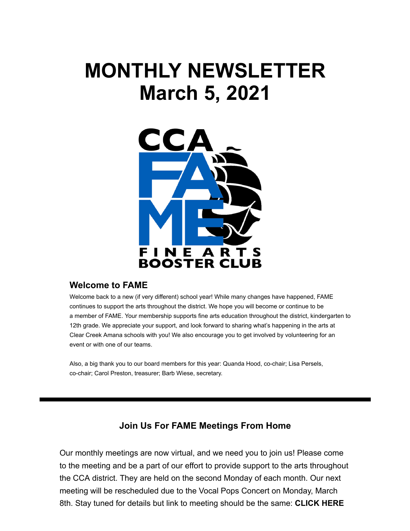# **MONTHLY NEWSLETTER March 5, 2021**



#### **Welcome to FAME**

Welcome back to a new (if very different) school year! While many changes have happened, FAME continues to support the arts throughout the district. We hope you will become or continue to be a member of FAME. Your membership supports fine arts education throughout the district, kindergarten to 12th grade. We appreciate your support, and look forward to sharing what's happening in the arts at Clear Creek Amana schools with you! We also encourage you to get involved by volunteering for an event or with one of our teams.

Also, a big thank you to our board members for this year: Quanda Hood, co-chair; Lisa Persels, co-chair; Carol Preston, treasurer; Barb Wiese, secretary.

#### **Join Us For FAME Meetings From Home**

Our monthly meetings are now virtual, and we need you to join us! Please come to the meeting and be a part of our effort to provide support to the arts throughout the CCA district. They are held on the second Monday of each month. Our next meeting will be rescheduled due to the Vocal Pops Concert on Monday, March [8th. Stay tuned for details but link to meeting should be the same:](https://www.ccafame.org/so/5dNW2tDP8/c?w=g88JetT2I_QAk74ZRh8LzVlLT45PoiOAJDzPpOkwSEI.eyJ1IjoiaHR0cHM6Ly9tZWV0Lmdvb2dsZS5jb20vZWZ6LXV1ZmQtaHF1IiwiciI6ImRkNDZjNjM2LTljYmYtNDM1Zi0zM2FkLTQyNzEzYTA0ZDU0ZSIsIm0iOiJscCJ9) **CLICK HERE**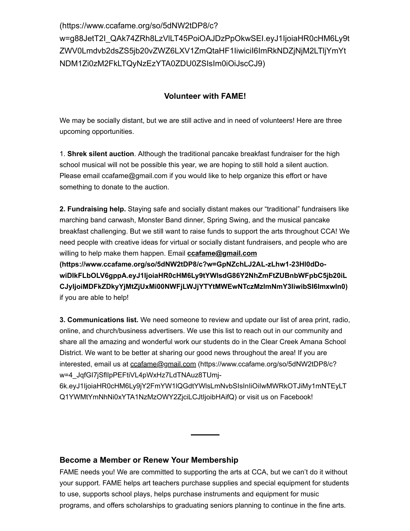#### (https://www.ccafame.org/so/5dNW2tDP8/c?

[w=g88JetT2I\\_QAk74ZRh8LzVlLT45PoiOAJDzPpOkwSEI.eyJ1IjoiaHR0cHM6Ly9t](https://www.ccafame.org/so/5dNW2tDP8/c?w=g88JetT2I_QAk74ZRh8LzVlLT45PoiOAJDzPpOkwSEI.eyJ1IjoiaHR0cHM6Ly9tZWV0Lmdvb2dsZS5jb20vZWZ6LXV1ZmQtaHF1IiwiciI6ImRkNDZjNjM2LTljYmYtNDM1Zi0zM2FkLTQyNzEzYTA0ZDU0ZSIsIm0iOiJscCJ9) ZWV0Lmdvb2dsZS5jb20vZWZ6LXV1ZmQtaHF1IiwiciI6ImRkNDZjNjM2LTljYmYt NDM1Zi0zM2FkLTQyNzEzYTA0ZDU0ZSIsIm0iOiJscCJ9)

#### **Volunteer with FAME!**

We may be socially distant, but we are still active and in need of volunteers! Here are three upcoming opportunities.

1. **Shrek silent auction**. Although the traditional pancake breakfast fundraiser for the high school musical will not be possible this year, we are hoping to still hold a silent auction. Please email ccafame@gmail.com if you would like to help organize this effort or have something to donate to the auction.

**2. Fundraising help.** Staying safe and socially distant makes our "traditional" fundraisers like marching band carwash, Monster Band dinner, Spring Swing, and the musical pancake breakfast challenging. But we still want to raise funds to support the arts throughout CCA! We need people with creative ideas for virtual or socially distant fundraisers, and people who are willing to help make them happen. Email **ccafame@gmail.com**

**(https://www.ccafame.org/so/5dNW2tDP8/c?w=GpNZchLJ2AL-zLhw1-23Hl0dDowiDlkFLbOLV6gppA.eyJ1IjoiaHR0cHM6Ly9tYWlsdG86Y2NhZmFtZUBnbWFpbC5jb20iL [CJyIjoiMDFkZDkyYjMtZjUxMi00NWFjLWJjYTYtMWEwNTczMzlmNmY3IiwibSI6ImxwIn0\)](https://www.ccafame.org/so/5dNW2tDP8/c?w=GpNZchLJ2AL-zLhw1-23Hl0dDo-wiDlkFLbOLV6gppA.eyJ1IjoiaHR0cHM6Ly9tYWlsdG86Y2NhZmFtZUBnbWFpbC5jb20iLCJyIjoiMDFkZDkyYjMtZjUxMi00NWFjLWJjYTYtMWEwNTczMzlmNmY3IiwibSI6ImxwIn0)** if you are able to help!

**3. Communications list.** We need someone to review and update our list of area print, radio, online, and church/business advertisers. We use this list to reach out in our community and share all the amazing and wonderful work our students do in the Clear Creek Amana School District. We want to be better at sharing our good news throughout the area! If you are interested, email us at ccafame@gmail.com (https://www.ccafame.org/so/5dNW2tDP8/c? w=4\_JqfGI7jSflIpPEFtiVL4pWxHz7LdTNAuz8TUmj-

[6k.eyJ1IjoiaHR0cHM6Ly9jY2FmYW1lQGdtYWlsLmNvbSIsInIiOiIwMWRkOTJiMy1mNTEyLT](https://www.ccafame.org/so/5dNW2tDP8/c?w=4_JqfGI7jSflIpPEFtiVL4pWxHz7LdTNAuz8TUmj-6k.eyJ1IjoiaHR0cHM6Ly9jY2FmYW1lQGdtYWlsLmNvbSIsInIiOiIwMWRkOTJiMy1mNTEyLTQ1YWMtYmNhNi0xYTA1NzMzOWY2ZjciLCJtIjoibHAifQ) Q1YWMtYmNhNi0xYTA1NzMzOWY2ZjciLCJtIjoibHAifQ) or visit us on Facebook!

#### **Become a Member or Renew Your Membership**

FAME needs you! We are committed to supporting the arts at CCA, but we can't do it without your support. FAME helps art teachers purchase supplies and special equipment for students to use, supports school plays, helps purchase instruments and equipment for music programs, and offers scholarships to graduating seniors planning to continue in the fine arts.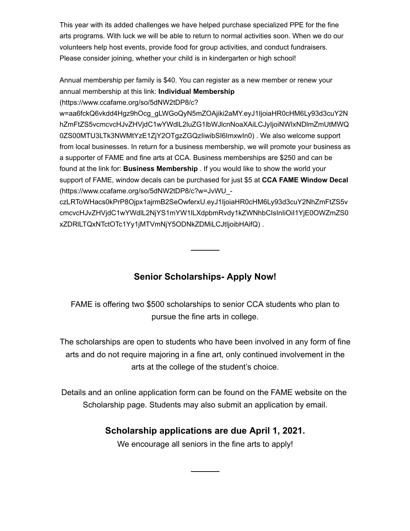This year with its added challenges we have helped purchase specialized PPE for the fine arts programs. With luck we will be able to return to normal activities soon. When we do our volunteers help host events, provide food for group activities, and conduct fundraisers. Please consider joining, whether your child is in kindergarten or high school!

Annual membership per family is \$40. You can register as a new member or renew your annual membership at this link: **Individual Membership**

(https://www.ccafame.org/so/5dNW2tDP8/c?

w=aa6fckQ6vkdd4Hgz9hOcg\_gLWGoQyN5mZOAjiki2aMY.eyJ1IjoiaHR0cHM6Ly93d3cuY2N [hZmFtZS5vcmcvcHJvZHVjdC1wYWdlL2luZG1lbWJlcnNoaXAiLCJyIjoiNWIxNDlmZmUtMWQ](https://www.ccafame.org/so/5dNW2tDP8/c?w=aa6fckQ6vkdd4Hgz9hOcg_gLWGoQyN5mZOAjiki2aMY.eyJ1IjoiaHR0cHM6Ly93d3cuY2NhZmFtZS5vcmcvcHJvZHVjdC1wYWdlL2luZG1lbWJlcnNoaXAiLCJyIjoiNWIxNDlmZmUtMWQ0ZS00MTU3LTk3NWMtYzE1ZjY2OTgzZGQzIiwibSI6ImxwIn0) 0ZS00MTU3LTk3NWMtYzE1ZjY2OTgzZGQzIiwibSI6ImxwIn0) . We also welcome support from local businesses. In return for a business membership, we will promote your business as a supporter of FAME and fine arts at CCA. Business memberships are \$250 and can be found at the link for: **Business Membership** . If you would like to show the world your support of FAME, window decals can be purchased for just \$5 at **CCA FAME Window Decal** (https://www.ccafame.org/so/5dNW2tDP8/c?w=JvWU\_-

czLRToWHacs0kPrP8Ojpx1ajrmB2SeOwferxU.eyJ1IjoiaHR0cHM6Ly93d3cuY2NhZmFtZS5v [cmcvcHJvZHVjdC1wYWdlL2NjYS1mYW1lLXdpbmRvdy1kZWNhbCIsInIiOiI1YjE0OWZmZS0](https://www.ccafame.org/so/5dNW2tDP8/c?w=JvWU_-czLRToWHacs0kPrP8Ojpx1ajrmB2SeOwferxU.eyJ1IjoiaHR0cHM6Ly93d3cuY2NhZmFtZS5vcmcvcHJvZHVjdC1wYWdlL2NjYS1mYW1lLXdpbmRvdy1kZWNhbCIsInIiOiI1YjE0OWZmZS0xZDRlLTQxNTctOTc1Yy1jMTVmNjY5ODNkZDMiLCJtIjoibHAifQ) xZDRlLTQxNTctOTc1Yy1jMTVmNjY5ODNkZDMiLCJtIjoibHAifQ) .

## **Senior Scholarships- Apply Now!**

FAME is offering two \$500 scholarships to senior CCA students who plan to pursue the fine arts in college.

The scholarships are open to students who have been involved in any form of fine arts and do not require majoring in a fine art, only continued involvement in the arts at the college of the student's choice.

Details and an online application form can be found on the FAME website on the Scholarship page. Students may also submit an application by email.

## **Scholarship applications are due April 1, 2021.**

We encourage all seniors in the fine arts to apply!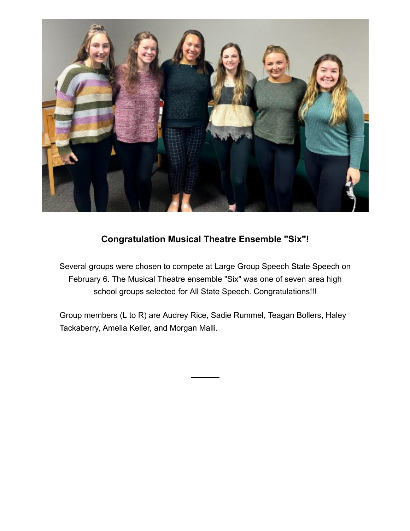

## **Congratulation Musical Theatre Ensemble "Six"!**

Several groups were chosen to compete at Large Group Speech State Speech on February 6. The Musical Theatre ensemble "Six" was one of seven area high school groups selected for All State Speech. Congratulations!!!

Group members (L to R) are Audrey Rice, Sadie Rummel, Teagan Bollers, Haley Tackaberry, Amelia Keller, and Morgan Malli.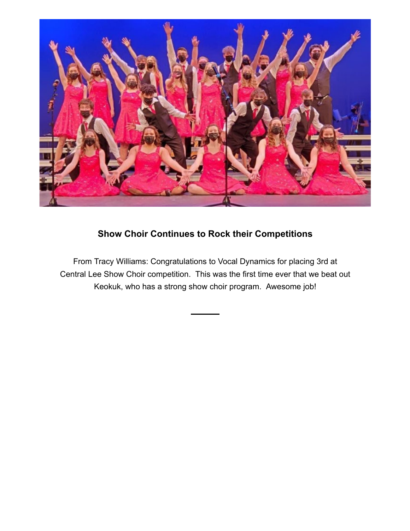

# **Show Choir Continues to Rock their Competitions**

From Tracy Williams: Congratulations to Vocal Dynamics for placing 3rd at Central Lee Show Choir competition. This was the first time ever that we beat out Keokuk, who has a strong show choir program. Awesome job!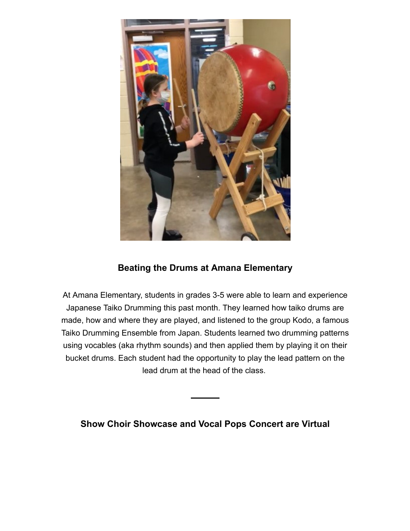

## **Beating the Drums at Amana Elementary**

At Amana Elementary, students in grades 3-5 were able to learn and experience Japanese Taiko Drumming this past month. They learned how taiko drums are made, how and where they are played, and listened to the group Kodo, a famous Taiko Drumming Ensemble from Japan. Students learned two drumming patterns using vocables (aka rhythm sounds) and then applied them by playing it on their bucket drums. Each student had the opportunity to play the lead pattern on the lead drum at the head of the class.

**Show Choir Showcase and Vocal Pops Concert are Virtual**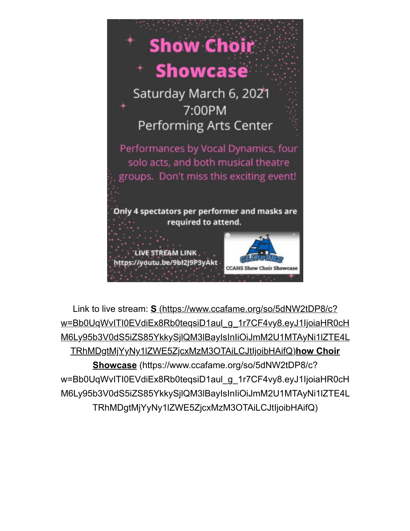

Link to live stream: **S** (https://www.ccafame.org/so/5dNW2tDP8/c? w=Bb0UqWvITI0EVdiEx8Rb0teqsiD1aul\_g\_1r7CF4vy8.eyJ1IjoiaHR0cH [M6Ly95b3V0dS5iZS85YkkySjlQM3lBayIsInIiOiJmM2U1MTAyNi1lZTE4L](https://www.ccafame.org/so/5dNW2tDP8/c?w=Bb0UqWvITI0EVdiEx8Rb0teqsiD1aul_g_1r7CF4vy8.eyJ1IjoiaHR0cHM6Ly95b3V0dS5iZS85YkkySjlQM3lBayIsInIiOiJmM2U1MTAyNi1lZTE4LTRhMDgtMjYyNy1lZWE5ZjcxMzM3OTAiLCJtIjoibHAifQ) TRhMDgtMjYyNy1lZWE5ZjcxMzM3OTAiLCJtIjoibHAifQ)**how Choir Showcase** (https://www.ccafame.org/so/5dNW2tDP8/c? w=Bb0UqWvITI0EVdiEx8Rb0teqsiD1aul\_g\_1r7CF4vy8.eyJ1IjoiaHR0cH [M6Ly95b3V0dS5iZS85YkkySjlQM3lBayIsInIiOiJmM2U1MTAyNi1lZTE4L](https://www.ccafame.org/so/5dNW2tDP8/c?w=Bb0UqWvITI0EVdiEx8Rb0teqsiD1aul_g_1r7CF4vy8.eyJ1IjoiaHR0cHM6Ly95b3V0dS5iZS85YkkySjlQM3lBayIsInIiOiJmM2U1MTAyNi1lZTE4LTRhMDgtMjYyNy1lZWE5ZjcxMzM3OTAiLCJtIjoibHAifQ) TRhMDgtMjYyNy1lZWE5ZjcxMzM3OTAiLCJtIjoibHAifQ)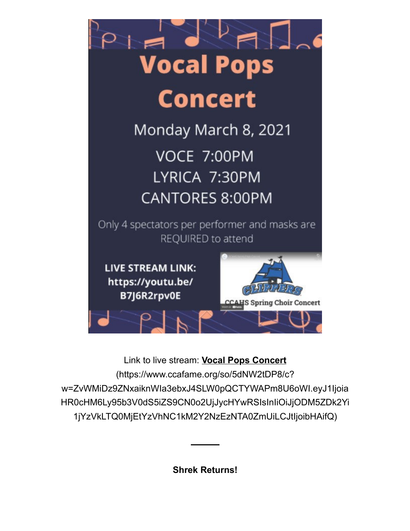

Link to live stream: **Vocal Pops Concert** (https://www.ccafame.org/so/5dNW2tDP8/c? w=ZvWMiDz9ZNxaiknWIa3ebxJ4SLW0pQCTYWAPm8U6oWI.eyJ1Ijoia [HR0cHM6Ly95b3V0dS5iZS9CN0o2UjJycHYwRSIsInIiOiJjODM5ZDk2Yi](https://www.ccafame.org/so/5dNW2tDP8/c?w=ZvWMiDz9ZNxaiknWIa3ebxJ4SLW0pQCTYWAPm8U6oWI.eyJ1IjoiaHR0cHM6Ly95b3V0dS5iZS9CN0o2UjJycHYwRSIsInIiOiJjODM5ZDk2Yi1jYzVkLTQ0MjEtYzVhNC1kM2Y2NzEzNTA0ZmUiLCJtIjoibHAifQ) 1jYzVkLTQ0MjEtYzVhNC1kM2Y2NzEzNTA0ZmUiLCJtIjoibHAifQ)

**Shrek Returns!**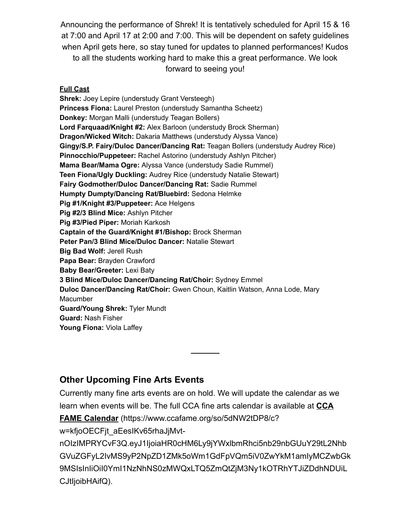Announcing the performance of Shrek! It is tentatively scheduled for April 15 & 16 at 7:00 and April 17 at 2:00 and 7:00. This will be dependent on safety guidelines when April gets here, so stay tuned for updates to planned performances! Kudos to all the students working hard to make this a great performance. We look forward to seeing you!

#### **Full Cast**

**Shrek:** Joey Lepire (understudy Grant Versteegh) **Princess Fiona:** Laurel Preston (understudy Samantha Scheetz) **Donkey:** Morgan Malli (understudy Teagan Bollers) **Lord Farquaad/Knight #2:** Alex Barloon (understudy Brock Sherman) **Dragon/Wicked Witch:** Dakaria Matthews (understudy Alyssa Vance) **Gingy/S.P. Fairy/Duloc Dancer/Dancing Rat:** Teagan Bollers (understudy Audrey Rice) **Pinnocchio/Puppeteer:** Rachel Astorino (understudy Ashlyn Pitcher) **Mama Bear/Mama Ogre:** Alyssa Vance (understudy Sadie Rummel) **Teen Fiona/Ugly Duckling:** Audrey Rice (understudy Natalie Stewart) **Fairy Godmother/Duloc Dancer/Dancing Rat:** Sadie Rummel **Humpty Dumpty/Dancing Rat/Bluebird:** Sedona Helmke **Pig #1/Knight #3/Puppeteer:** Ace Helgens **Pig #2/3 Blind Mice:** Ashlyn Pitcher **Pig #3/Pied Piper:** Moriah Karkosh **Captain of the Guard/Knight #1/Bishop:** Brock Sherman **Peter Pan/3 Blind Mice/Duloc Dancer:** Natalie Stewart **Big Bad Wolf:** Jerell Rush **Papa Bear:** Brayden Crawford **Baby Bear/Greeter:** Lexi Baty **3 Blind Mice/Duloc Dancer/Dancing Rat/Choir:** Sydney Emmel **Duloc Dancer/Dancing Rat/Choir:** Gwen Choun, Kaitlin Watson, Anna Lode, Mary Macumber **Guard/Young Shrek:** Tyler Mundt **Guard:** Nash Fisher **Young Fiona:** Viola Laffey

### **Other Upcoming Fine Arts Events**

Currently many fine arts events are on hold. We will update the calendar as we learn when events will be. The full CCA fine arts calendar is available at **CCA**

**FAME Calendar** (https://www.ccafame.org/so/5dNW2tDP8/c?

w=kfjoOECFjt\_aEesIKv65rhaJjMvt-

nOIzIMPRYCvF3Q.eyJ1IjoiaHR0cHM6Ly9jYWxlbmRhci5nb29nbGUuY29tL2Nhb [GVuZGFyL2IvMS9yP2NpZD1ZMk5oWm1GdFpVQm5iV0ZwYkM1amIyMCZwbGk](https://www.ccafame.org/so/5dNW2tDP8/c?w=kfjoOECFjt_aEesIKv65rhaJjMvt-nOIzIMPRYCvF3Q.eyJ1IjoiaHR0cHM6Ly9jYWxlbmRhci5nb29nbGUuY29tL2NhbGVuZGFyL2IvMS9yP2NpZD1ZMk5oWm1GdFpVQm5iV0ZwYkM1amIyMCZwbGk9MSIsInIiOiI0YmI1NzNhNS0zMWQxLTQ5ZmQtZjM3Ny1kOTRhYTJiZDdhNDUiLCJtIjoibHAifQ) 9MSIsInIiOiI0YmI1NzNhNS0zMWQxLTQ5ZmQtZjM3Ny1kOTRhYTJiZDdhNDUiL CJtIjoibHAifQ).